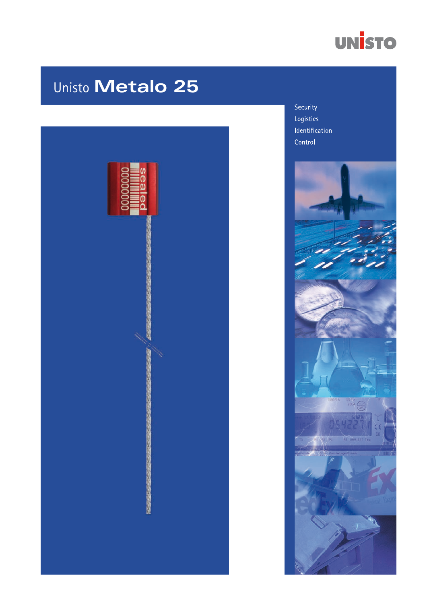

# Unisto Metalo 25



Security Logistics Identification Control